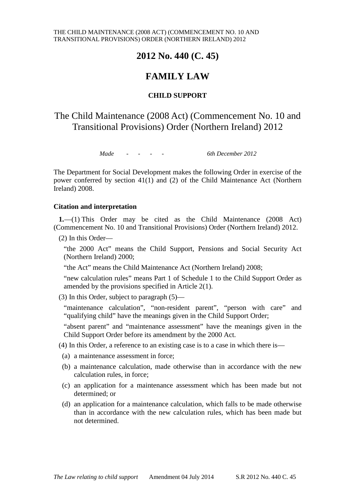## **2012 No. 440 (C. 45)**

## **FAMILY LAW**

### **CHILD SUPPORT**

## The Child Maintenance (2008 Act) (Commencement No. 10 and Transitional Provisions) Order (Northern Ireland) 2012

*Made - - - - 6th December 2012*

The Department for Social Development makes the following Order in exercise of the power conferred by section 41(1) and (2) of the Child Maintenance Act (Northern Ireland) 2008.

### **Citation and interpretation**

**1.**—(1) This Order may be cited as the Child Maintenance (2008 Act) (Commencement No. 10 and Transitional Provisions) Order (Northern Ireland) 2012.

(2) In this Order—

"the 2000 Act" means the Child Support, Pensions and Social Security Act (Northern Ireland) 2000;

"the Act" means the Child Maintenance Act (Northern Ireland) 2008;

"new calculation rules" means Part 1 of Schedule 1 to the Child Support Order as amended by the provisions specified in Article 2(1).

(3) In this Order, subject to paragraph (5)—

"maintenance calculation", "non-resident parent", "person with care" and "qualifying child" have the meanings given in the Child Support Order;

"absent parent" and "maintenance assessment" have the meanings given in the Child Support Order before its amendment by the 2000 Act.

(4) In this Order, a reference to an existing case is to a case in which there is—

- (a) a maintenance assessment in force;
- (b) a maintenance calculation, made otherwise than in accordance with the new calculation rules, in force;
- (c) an application for a maintenance assessment which has been made but not determined; or
- (d) an application for a maintenance calculation, which falls to be made otherwise than in accordance with the new calculation rules, which has been made but not determined.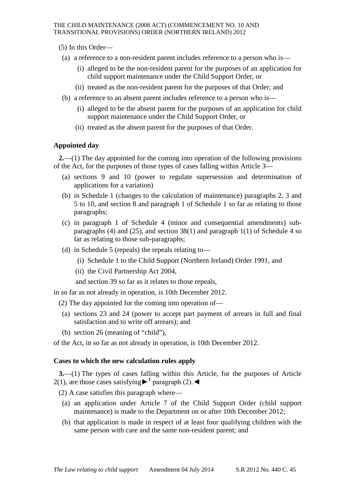- (5) In this Order—
- (a) a reference to a non-resident parent includes reference to a person who is—
	- (i) alleged to be the non-resident parent for the purposes of an application for child support maintenance under the Child Support Order, or
	- (ii) treated as the non-resident parent for the purposes of that Order; and
- (b) a reference to an absent parent includes reference to a person who is—
	- (i) alleged to be the absent parent for the purposes of an application for child support maintenance under the Child Support Order, or
	- (ii) treated as the absent parent for the purposes of that Order.

### **Appointed day**

**2.**—(1) The day appointed for the coming into operation of the following provisions of the Act, for the purposes of those types of cases falling within Article 3—

- (a) sections 9 and 10 (power to regulate supersession and determination of applications for a variation)
- (b) in Schedule 1 (changes to the calculation of maintenance) paragraphs 2, 3 and 5 to 10, and section 8 and paragraph 1 of Schedule 1 so far as relating to those paragraphs;
- (c) in paragraph 1 of Schedule 4 (minor and consequential amendments) subparagraphs (4) and (25), and section  $38(1)$  and paragraph 1(1) of Schedule 4 so far as relating to those sub-paragraphs;
- (d) in Schedule 5 (repeals) the repeals relating to—
	- (i) Schedule 1 to the Child Support (Northern Ireland) Order 1991, and
	- (ii) the Civil Partnership Act 2004,

and section 39 so far as it relates to those repeals,

in so far as not already in operation, is 10th December 2012.

- (2) The day appointed for the coming into operation of—
- (a) sections 23 and 24 (power to accept part payment of arrears in full and final satisfaction and to write off arrears); and
- (b) section 26 (meaning of "child"),

of the Act, in so far as not already in operation, is 10th December 2012.

### **Cases to which the new calculation rules apply**

**3.**—(1) The types of cases falling within this Article, for the purposes of Article 2(1), are those cases satisfying  $\blacktriangleright$ <sup>1</sup> paragraph (2). ◄

(2) A case satisfies this paragraph where—

- (a) an application under Article 7 of the Child Support Order (child support maintenance) is made to the Department on or after 10th December 2012;
- (b) that application is made in respect of at least four qualifying children with the same person with care and the same non-resident parent; and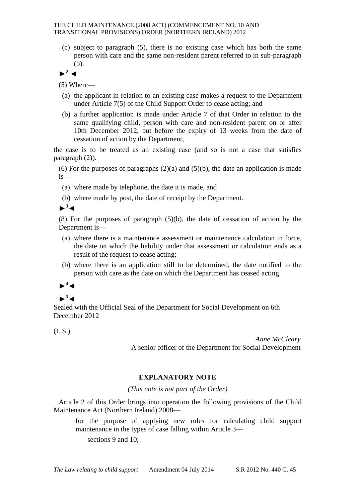(c) subject to paragraph (5), there is no existing case which has both the same person with care and the same non-resident parent referred to in sub-paragraph (b).

**►<sup>2</sup>** ◄

(5) Where—

- (a) the applicant in relation to an existing case makes a request to the Department under Article 7(5) of the Child Support Order to cease acting; and
- (b) a further application is made under Article 7 of that Order in relation to the same qualifying child, person with care and non-resident parent on or after 10th December 2012, but before the expiry of 13 weeks from the date of cessation of action by the Department,

the case is to be treated as an existing case (and so is not a case that satisfies paragraph (2)).

(6) For the purposes of paragraphs  $(2)(a)$  and  $(5)(b)$ , the date an application is made is—

(a) where made by telephone, the date it is made, and

(b) where made by post, the date of receipt by the Department.

**►<sup>3</sup>**◄

(8) For the purposes of paragraph (5)(b), the date of cessation of action by the Department is—

- (a) where there is a maintenance assessment or maintenance calculation in force, the date on which the liability under that assessment or calculation ends as a result of the request to cease acting;
- (b) where there is an application still to be determined, the date notified to the person with care as the date on which the Department has ceased acting.

# ►**<sup>4</sup>**◄

## $\blacktriangleright$ <sup>5</sup> $\blacktriangleleft$

Sealed with the Official Seal of the Department for Social Development on 6th December 2012

(L.S.)

*Anne McCleary* A senior officer of the Department for Social Development

### **EXPLANATORY NOTE**

*(This note is not part of the Order)*

Article 2 of this Order brings into operation the following provisions of the Child Maintenance Act (Northern Ireland) 2008—

for the purpose of applying new rules for calculating child support maintenance in the types of case falling within Article 3—

sections 9 and 10;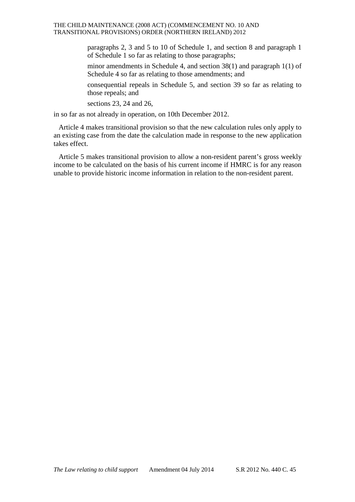### THE CHILD MAINTENANCE (2008 ACT) (COMMENCEMENT NO. 10 AND TRANSITIONAL PROVISIONS) ORDER (NORTHERN IRELAND) 2012

paragraphs 2, 3 and 5 to 10 of Schedule 1, and section 8 and paragraph 1 of Schedule 1 so far as relating to those paragraphs;

minor amendments in Schedule 4, and section 38(1) and paragraph 1(1) of Schedule 4 so far as relating to those amendments; and

consequential repeals in Schedule 5, and section 39 so far as relating to those repeals; and

sections 23, 24 and 26,

in so far as not already in operation, on 10th December 2012.

Article 4 makes transitional provision so that the new calculation rules only apply to an existing case from the date the calculation made in response to the new application takes effect.

Article 5 makes transitional provision to allow a non-resident parent's gross weekly income to be calculated on the basis of his current income if HMRC is for any reason unable to provide historic income information in relation to the non-resident parent.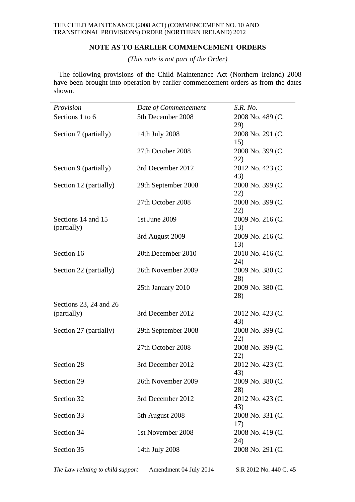### **NOTE AS TO EARLIER COMMENCEMENT ORDERS**

*(This note is not part of the Order)*

The following provisions of the Child Maintenance Act (Northern Ireland) 2008 have been brought into operation by earlier commencement orders as from the dates shown.

| Provision                         | Date of Commencement | S.R. No.                |
|-----------------------------------|----------------------|-------------------------|
| Sections 1 to 6                   | 5th December 2008    | 2008 No. 489 (C.<br>29) |
| Section 7 (partially)             | 14th July 2008       | 2008 No. 291 (C.<br>15) |
|                                   | 27th October 2008    | 2008 No. 399 (C.<br>22) |
| Section 9 (partially)             | 3rd December 2012    | 2012 No. 423 (C.<br>43) |
| Section 12 (partially)            | 29th September 2008  | 2008 No. 399 (C.<br>22) |
|                                   | 27th October 2008    | 2008 No. 399 (C.<br>22) |
| Sections 14 and 15<br>(partially) | 1st June 2009        | 2009 No. 216 (C.<br>13) |
|                                   | 3rd August 2009      | 2009 No. 216 (C.<br>13) |
| Section 16                        | 20th December 2010   | 2010 No. 416 (C.<br>24) |
| Section 22 (partially)            | 26th November 2009   | 2009 No. 380 (C.<br>28) |
|                                   | 25th January 2010    | 2009 No. 380 (C.<br>28) |
| Sections 23, 24 and 26            |                      |                         |
| (partially)                       | 3rd December 2012    | 2012 No. 423 (C.<br>43) |
| Section 27 (partially)            | 29th September 2008  | 2008 No. 399 (C.<br>22) |
|                                   | 27th October 2008    | 2008 No. 399 (C.<br>22) |
| Section 28                        | 3rd December 2012    | 2012 No. 423 (C.<br>43) |
| Section 29                        | 26th November 2009   | 2009 No. 380 (C.<br>28) |
| Section 32                        | 3rd December 2012    | 2012 No. 423 (C.<br>43) |
| Section 33                        | 5th August 2008      | 2008 No. 331 (C.<br>17) |
| Section 34                        | 1st November 2008    | 2008 No. 419 (C.<br>24) |
| Section 35                        | 14th July 2008       | 2008 No. 291 (C.        |

*The Law relating to child support* Amendment 04 July 2014 S.R 2012 No. 440 C. 45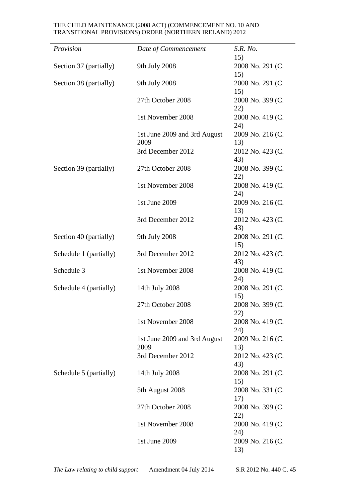### THE CHILD MAINTENANCE (2008 ACT) (COMMENCEMENT NO. 10 AND TRANSITIONAL PROVISIONS) ORDER (NORTHERN IRELAND) 2012

| Provision              | Date of Commencement                 | S.R. No.                       |
|------------------------|--------------------------------------|--------------------------------|
| Section 37 (partially) | 9th July 2008                        | 15)<br>2008 No. 291 (C.<br>15) |
| Section 38 (partially) | 9th July 2008                        | 2008 No. 291 (C.<br>15)        |
|                        | 27th October 2008                    | 2008 No. 399 (C.<br>22)        |
|                        | 1st November 2008                    | 2008 No. 419 (C.<br>24)        |
|                        | 1st June 2009 and 3rd August<br>2009 | 2009 No. 216 (C.<br>13)        |
|                        | 3rd December 2012                    | 2012 No. 423 (C.<br>43)        |
| Section 39 (partially) | 27th October 2008                    | 2008 No. 399 (C.<br>22)        |
|                        | 1st November 2008                    | 2008 No. 419 (C.<br>24)        |
|                        | 1st June 2009                        | 2009 No. 216 (C.<br>13)        |
|                        | 3rd December 2012                    | 2012 No. 423 (C.<br>43)        |
| Section 40 (partially) | 9th July 2008                        | 2008 No. 291 (C.<br>15)        |
| Schedule 1 (partially) | 3rd December 2012                    | 2012 No. 423 (C.<br>43)        |
| Schedule 3             | 1st November 2008                    | 2008 No. 419 (C.<br>24)        |
| Schedule 4 (partially) | 14th July 2008                       | 2008 No. 291 (C.<br>15)        |
|                        | 27th October 2008                    | 2008 No. 399 (C.<br>22)        |
|                        | 1st November 2008                    | 2008 No. 419 (C.<br>24)        |
|                        | 1st June 2009 and 3rd August<br>2009 | 2009 No. 216 (C.<br>13)        |
|                        | 3rd December 2012                    | 2012 No. 423 (C.<br>43)        |
| Schedule 5 (partially) | 14th July 2008                       | 2008 No. 291 (C.<br>15)        |
|                        | 5th August 2008                      | 2008 No. 331 (C.<br>17)        |
|                        | 27th October 2008                    | 2008 No. 399 (C.<br>22)        |
|                        | 1st November 2008                    | 2008 No. 419 (C.<br>24)        |
|                        | 1st June 2009                        | 2009 No. 216 (C.<br>13)        |